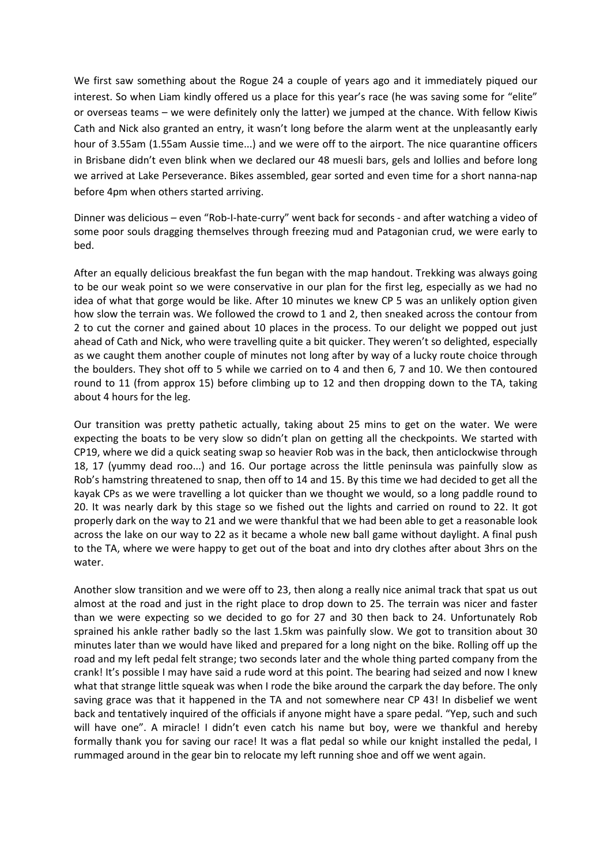We first saw something about the Rogue 24 a couple of years ago and it immediately piqued our interest. So when Liam kindly offered us a place for this year's race (he was saving some for "elite" or overseas teams – we were definitely only the latter) we jumped at the chance. With fellow Kiwis Cath and Nick also granted an entry, it wasn't long before the alarm went at the unpleasantly early hour of 3.55am (1.55am Aussie time...) and we were off to the airport. The nice quarantine officers in Brisbane didn't even blink when we declared our 48 muesli bars, gels and lollies and before long we arrived at Lake Perseverance. Bikes assembled, gear sorted and even time for a short nanna-nap before 4pm when others started arriving.

Dinner was delicious – even "Rob-I-hate-curry" went back for seconds - and after watching a video of some poor souls dragging themselves through freezing mud and Patagonian crud, we were early to bed.

After an equally delicious breakfast the fun began with the map handout. Trekking was always going to be our weak point so we were conservative in our plan for the first leg, especially as we had no idea of what that gorge would be like. After 10 minutes we knew CP 5 was an unlikely option given how slow the terrain was. We followed the crowd to 1 and 2, then sneaked across the contour from 2 to cut the corner and gained about 10 places in the process. To our delight we popped out just ahead of Cath and Nick, who were travelling quite a bit quicker. They weren't so delighted, especially as we caught them another couple of minutes not long after by way of a lucky route choice through the boulders. They shot off to 5 while we carried on to 4 and then 6, 7 and 10. We then contoured round to 11 (from approx 15) before climbing up to 12 and then dropping down to the TA, taking about 4 hours for the leg.

Our transition was pretty pathetic actually, taking about 25 mins to get on the water. We were expecting the boats to be very slow so didn't plan on getting all the checkpoints. We started with CP19, where we did a quick seating swap so heavier Rob was in the back, then anticlockwise through 18, 17 (yummy dead roo...) and 16. Our portage across the little peninsula was painfully slow as Rob's hamstring threatened to snap, then off to 14 and 15. By this time we had decided to get all the kayak CPs as we were travelling a lot quicker than we thought we would, so a long paddle round to 20. It was nearly dark by this stage so we fished out the lights and carried on round to 22. It got properly dark on the way to 21 and we were thankful that we had been able to get a reasonable look across the lake on our way to 22 as it became a whole new ball game without daylight. A final push to the TA, where we were happy to get out of the boat and into dry clothes after about 3hrs on the water.

Another slow transition and we were off to 23, then along a really nice animal track that spat us out almost at the road and just in the right place to drop down to 25. The terrain was nicer and faster than we were expecting so we decided to go for 27 and 30 then back to 24. Unfortunately Rob sprained his ankle rather badly so the last 1.5km was painfully slow. We got to transition about 30 minutes later than we would have liked and prepared for a long night on the bike. Rolling off up the road and my left pedal felt strange; two seconds later and the whole thing parted company from the crank! It's possible I may have said a rude word at this point. The bearing had seized and now I knew what that strange little squeak was when I rode the bike around the carpark the day before. The only saving grace was that it happened in the TA and not somewhere near CP 43! In disbelief we went back and tentatively inquired of the officials if anyone might have a spare pedal. "Yep, such and such will have one". A miracle! I didn't even catch his name but boy, were we thankful and hereby formally thank you for saving our race! It was a flat pedal so while our knight installed the pedal, I rummaged around in the gear bin to relocate my left running shoe and off we went again.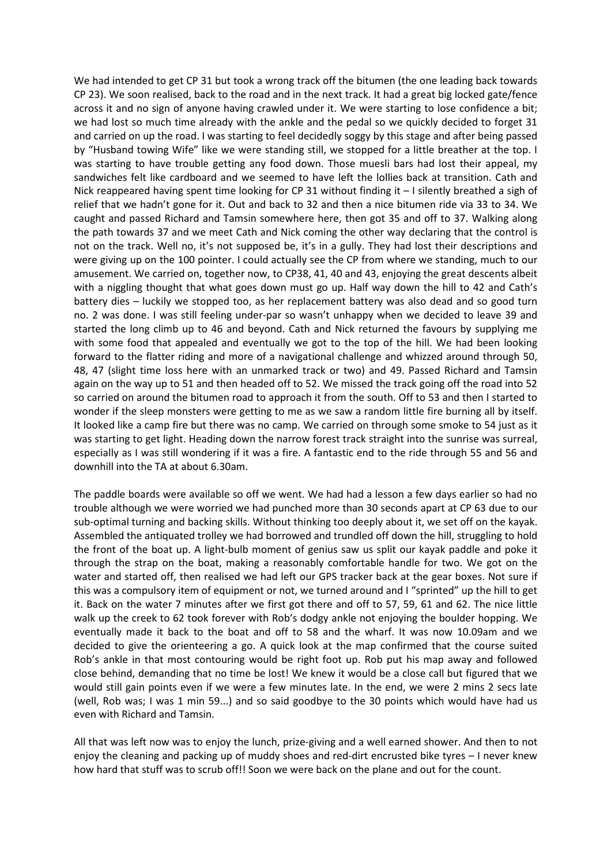We had intended to get CP 31 but took a wrong track off the bitumen (the one leading back towards CP 23). We soon realised, back to the road and in the next track. It had a great big locked gate/fence across it and no sign of anyone having crawled under it. We were starting to lose confidence a bit; we had lost so much time already with the ankle and the pedal so we quickly decided to forget 31 and carried on up the road. I was starting to feel decidedly soggy by this stage and after being passed by "Husband towing Wife" like we were standing still, we stopped for a little breather at the top. I was starting to have trouble getting any food down. Those muesli bars had lost their appeal, my sandwiches felt like cardboard and we seemed to have left the lollies back at transition. Cath and Nick reappeared having spent time looking for CP 31 without finding it  $-1$  silently breathed a sigh of relief that we hadn't gone for it. Out and back to 32 and then a nice bitumen ride via 33 to 34. We caught and passed Richard and Tamsin somewhere here, then got 35 and off to 37. Walking along the path towards 37 and we meet Cath and Nick coming the other way declaring that the control is not on the track. Well no, it's not supposed be, it's in a gully. They had lost their descriptions and were giving up on the 100 pointer. I could actually see the CP from where we standing, much to our amusement. We carried on, together now, to CP38, 41, 40 and 43, enjoying the great descents albeit with a niggling thought that what goes down must go up. Half way down the hill to 42 and Cath's battery dies – luckily we stopped too, as her replacement battery was also dead and so good turn no. 2 was done. I was still feeling under-par so wasn't unhappy when we decided to leave 39 and started the long climb up to 46 and beyond. Cath and Nick returned the favours by supplying me with some food that appealed and eventually we got to the top of the hill. We had been looking forward to the flatter riding and more of a navigational challenge and whizzed around through 50, 48, 47 (slight time loss here with an unmarked track or two) and 49. Passed Richard and Tamsin again on the way up to 51 and then headed off to 52. We missed the track going off the road into 52 so carried on around the bitumen road to approach it from the south. Off to 53 and then I started to wonder if the sleep monsters were getting to me as we saw a random little fire burning all by itself. It looked like a camp fire but there was no camp. We carried on through some smoke to 54 just as it was starting to get light. Heading down the narrow forest track straight into the sunrise was surreal, especially as I was still wondering if it was a fire. A fantastic end to the ride through 55 and 56 and downhill into the TA at about 6.30am.

The paddle boards were available so off we went. We had had a lesson a few days earlier so had no trouble although we were worried we had punched more than 30 seconds apart at CP 63 due to our sub-optimal turning and backing skills. Without thinking too deeply about it, we set off on the kayak. Assembled the antiquated trolley we had borrowed and trundled off down the hill, struggling to hold the front of the boat up. A light-bulb moment of genius saw us split our kayak paddle and poke it through the strap on the boat, making a reasonably comfortable handle for two. We got on the water and started off, then realised we had left our GPS tracker back at the gear boxes. Not sure if this was a compulsory item of equipment or not, we turned around and I "sprinted" up the hill to get it. Back on the water 7 minutes after we first got there and off to 57, 59, 61 and 62. The nice little walk up the creek to 62 took forever with Rob's dodgy ankle not enjoying the boulder hopping. We eventually made it back to the boat and off to 58 and the wharf. It was now 10.09am and we decided to give the orienteering a go. A quick look at the map confirmed that the course suited Rob's ankle in that most contouring would be right foot up. Rob put his map away and followed close behind, demanding that no time be lost! We knew it would be a close call but figured that we would still gain points even if we were a few minutes late. In the end, we were 2 mins 2 secs late (well, Rob was; I was 1 min 59...) and so said goodbye to the 30 points which would have had us even with Richard and Tamsin.

All that was left now was to enjoy the lunch, prize-giving and a well earned shower. And then to not enjoy the cleaning and packing up of muddy shoes and red-dirt encrusted bike tyres – I never knew how hard that stuff was to scrub off!! Soon we were back on the plane and out for the count.